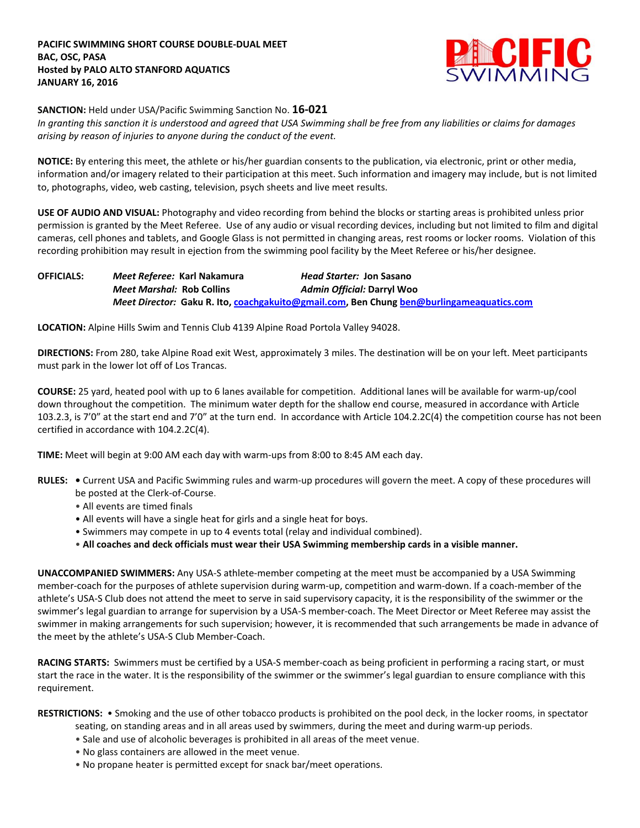

**SANCTION:** Held under USA/Pacific Swimming Sanction No. **16-021**

*In granting this sanction it is understood and agreed that USA Swimming shall be free from any liabilities or claims for damages arising by reason of injuries to anyone during the conduct of the event.*

**NOTICE:** By entering this meet, the athlete or his/her guardian consents to the publication, via electronic, print or other media, information and/or imagery related to their participation at this meet. Such information and imagery may include, but is not limited to, photographs, video, web casting, television, psych sheets and live meet results.

**USE OF AUDIO AND VISUAL:** Photography and video recording from behind the blocks or starting areas is prohibited unless prior permission is granted by the Meet Referee. Use of any audio or visual recording devices, including but not limited to film and digital cameras, cell phones and tablets, and Google Glass is not permitted in changing areas, rest rooms or locker rooms. Violation of this recording prohibition may result in ejection from the swimming pool facility by the Meet Referee or his/her designee.

**OFFICIALS:** *Meet Referee:* **Karl Nakamura** *Head Starter:* **Jon Sasano** *Meet Marshal:* **Rob Collins** *Admin Official:* **Darryl Woo** *Meet Director:* **Gaku R. Ito, [coachgakuito@gmail.com,](mailto:coachgakuito@gmail.com) Ben Chung [ben@burlingameaquatics.com](mailto:ben@burlingameaquatics.com)**

**LOCATION:** Alpine Hills Swim and Tennis Club 4139 Alpine Road Portola Valley 94028.

**DIRECTIONS:** From 280, take Alpine Road exit West, approximately 3 miles. The destination will be on your left. Meet participants must park in the lower lot off of Los Trancas.

**COURSE:** 25 yard, heated pool with up to 6 lanes available for competition. Additional lanes will be available for warm-up/cool down throughout the competition. The minimum water depth for the shallow end course, measured in accordance with Article 103.2.3, is 7'0" at the start end and 7'0" at the turn end. In accordance with Article 104.2.2C(4) the competition course has not been certified in accordance with 104.2.2C(4).

**TIME:** Meet will begin at 9:00 AM each day with warm-ups from 8:00 to 8:45 AM each day.

- **RULES:** Current USA and Pacific Swimming rules and warm-up procedures will govern the meet. A copy of these procedures will be posted at the Clerk-of-Course.
	- All events are timed finals
	- All events will have a single heat for girls and a single heat for boys.
	- Swimmers may compete in up to 4 events total (relay and individual combined).
	- **All coaches and deck officials must wear their USA Swimming membership cards in a visible manner.**

**UNACCOMPANIED SWIMMERS:** Any USA-S athlete-member competing at the meet must be accompanied by a USA Swimming member-coach for the purposes of athlete supervision during warm-up, competition and warm-down. If a coach-member of the athlete's USA-S Club does not attend the meet to serve in said supervisory capacity, it is the responsibility of the swimmer or the swimmer's legal guardian to arrange for supervision by a USA-S member-coach. The Meet Director or Meet Referee may assist the swimmer in making arrangements for such supervision; however, it is recommended that such arrangements be made in advance of the meet by the athlete's USA-S Club Member-Coach.

**RACING STARTS:** Swimmers must be certified by a USA-S member-coach as being proficient in performing a racing start, or must start the race in the water. It is the responsibility of the swimmer or the swimmer's legal guardian to ensure compliance with this requirement.

**RESTRICTIONS:** • Smoking and the use of other tobacco products is prohibited on the pool deck, in the locker rooms, in spectator seating, on standing areas and in all areas used by swimmers, during the meet and during warm-up periods.

- Sale and use of alcoholic beverages is prohibited in all areas of the meet venue.
- No glass containers are allowed in the meet venue.
- No propane heater is permitted except for snack bar/meet operations.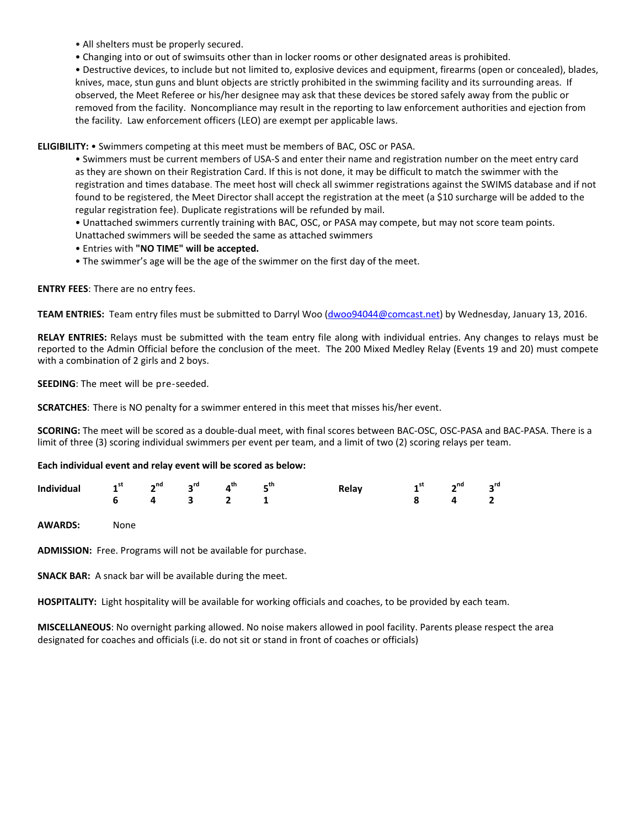- All shelters must be properly secured.
- Changing into or out of swimsuits other than in locker rooms or other designated areas is prohibited.

• Destructive devices, to include but not limited to, explosive devices and equipment, firearms (open or concealed), blades, knives, mace, stun guns and blunt objects are strictly prohibited in the swimming facility and its surrounding areas. If observed, the Meet Referee or his/her designee may ask that these devices be stored safely away from the public or removed from the facility. Noncompliance may result in the reporting to law enforcement authorities and ejection from the facility. Law enforcement officers (LEO) are exempt per applicable laws.

**ELIGIBILITY:** • Swimmers competing at this meet must be members of BAC, OSC or PASA.

• Swimmers must be current members of USA-S and enter their name and registration number on the meet entry card as they are shown on their Registration Card. If this is not done, it may be difficult to match the swimmer with the registration and times database. The meet host will check all swimmer registrations against the SWIMS database and if not found to be registered, the Meet Director shall accept the registration at the meet (a \$10 surcharge will be added to the regular registration fee). Duplicate registrations will be refunded by mail.

• Unattached swimmers currently training with BAC, OSC, or PASA may compete, but may not score team points.

Unattached swimmers will be seeded the same as attached swimmers

- Entries with **"NO TIME" will be accepted.**
- The swimmer's age will be the age of the swimmer on the first day of the meet.

**ENTRY FEES**: There are no entry fees.

**TEAM ENTRIES:** Team entry files must be submitted to Darryl Woo [\(dwoo94044@comcast.net\)](mailto:dwoo94044@comcast.net) by Wednesday, January 13, 2016.

**RELAY ENTRIES:** Relays must be submitted with the team entry file along with individual entries. Any changes to relays must be reported to the Admin Official before the conclusion of the meet. The 200 Mixed Medley Relay (Events 19 and 20) must compete with a combination of 2 girls and 2 boys.

**SEEDING**: The meet will be pre-seeded.

**SCRATCHES**: There is NO penalty for a swimmer entered in this meet that misses his/her event.

**SCORING:** The meet will be scored as a double-dual meet, with final scores between BAC-OSC, OSC-PASA and BAC-PASA. There is a limit of three (3) scoring individual swimmers per event per team, and a limit of two (2) scoring relays per team.

## **Each individual event and relay event will be scored as below:**

| Individual $1^{st}$ $2^{nd}$ $3^{rd}$ $4^{th}$ $5^{th}$ |  |  | Relay $1^{st}$ $2^{nd}$ $3^{rd}$ |  |  |
|---------------------------------------------------------|--|--|----------------------------------|--|--|
| 6 4 3 2 1                                               |  |  | $8 \t 4 \t 2$                    |  |  |

**AWARDS:** None

**ADMISSION:** Free. Programs will not be available for purchase.

**SNACK BAR:** A snack bar will be available during the meet.

**HOSPITALITY:** Light hospitality will be available for working officials and coaches, to be provided by each team.

**MISCELLANEOUS**: No overnight parking allowed. No noise makers allowed in pool facility. Parents please respect the area designated for coaches and officials (i.e. do not sit or stand in front of coaches or officials)